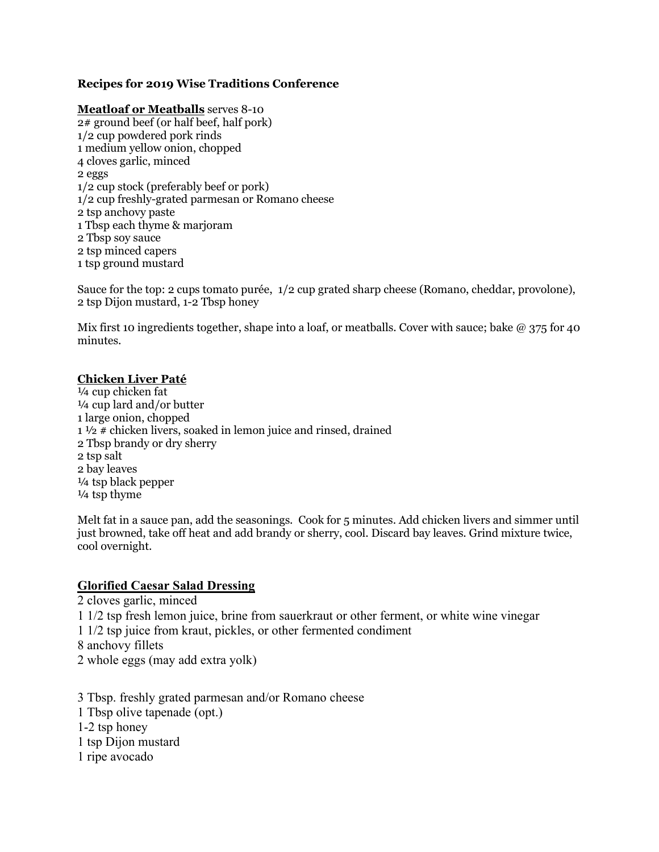### **Recipes for 2019 Wise Traditions Conference**

#### **Meatloaf or Meatballs** serves 8-10

2# ground beef (or half beef, half pork) 1/2 cup powdered pork rinds 1 medium yellow onion, chopped 4 cloves garlic, minced 2 eggs 1/2 cup stock (preferably beef or pork) 1/2 cup freshly-grated parmesan or Romano cheese 2 tsp anchovy paste 1 Tbsp each thyme & marjoram 2 Tbsp soy sauce 2 tsp minced capers 1 tsp ground mustard

Sauce for the top: 2 cups tomato purée, 1/2 cup grated sharp cheese (Romano, cheddar, provolone), 2 tsp Dijon mustard, 1-2 Tbsp honey

Mix first 10 ingredients together, shape into a loaf, or meatballs. Cover with sauce; bake  $\omega$  375 for 40 minutes.

#### **Chicken Liver Paté**

¼ cup chicken fat ¼ cup lard and/or butter 1 large onion, chopped  $1\frac{1}{2}$  # chicken livers, soaked in lemon juice and rinsed, drained 2 Tbsp brandy or dry sherry 2 tsp salt 2 bay leaves ¼ tsp black pepper ¼ tsp thyme

Melt fat in a sauce pan, add the seasonings. Cook for 5 minutes. Add chicken livers and simmer until just browned, take off heat and add brandy or sherry, cool. Discard bay leaves. Grind mixture twice, cool overnight.

#### **Glorified Caesar Salad Dressing**

2 cloves garlic, minced 1 1/2 tsp fresh lemon juice, brine from sauerkraut or other ferment, or white wine vinegar 1 1/2 tsp juice from kraut, pickles, or other fermented condiment 8 anchovy fillets 2 whole eggs (may add extra yolk)

3 Tbsp. freshly grated parmesan and/or Romano cheese 1 Tbsp olive tapenade (opt.) 1-2 tsp honey 1 tsp Dijon mustard 1 ripe avocado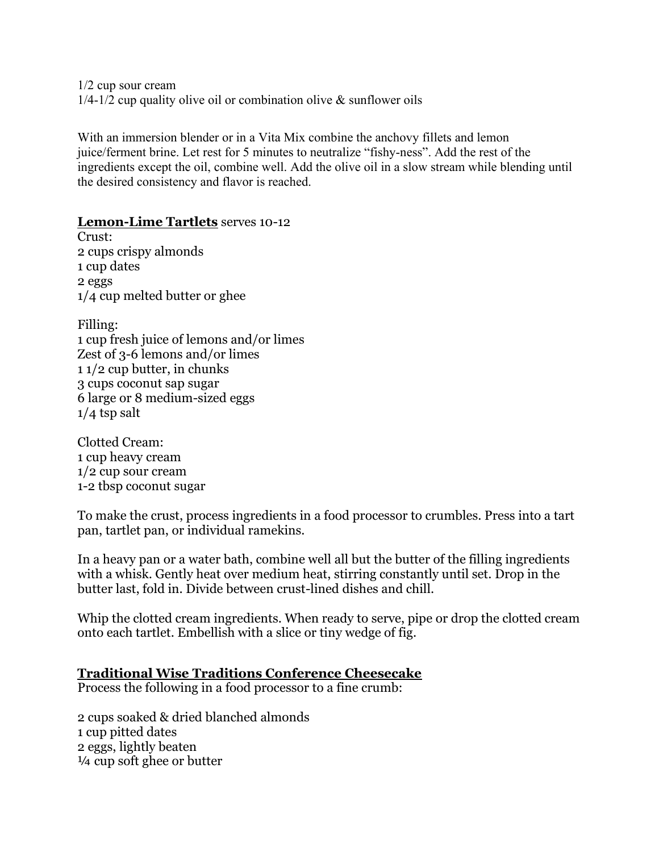1/2 cup sour cream  $1/4$ -1/2 cup quality olive oil or combination olive & sunflower oils

With an immersion blender or in a Vita Mix combine the anchovy fillets and lemon juice/ferment brine. Let rest for 5 minutes to neutralize "fishy-ness". Add the rest of the ingredients except the oil, combine well. Add the olive oil in a slow stream while blending until the desired consistency and flavor is reached.

## **Lemon-Lime Tartlets** serves 10-12

Crust: 2 cups crispy almonds 1 cup dates 2 eggs 1/4 cup melted butter or ghee

Filling: 1 cup fresh juice of lemons and/or limes Zest of 3-6 lemons and/or limes 1 1/2 cup butter, in chunks 3 cups coconut sap sugar 6 large or 8 medium-sized eggs  $1/4$  tsp salt

Clotted Cream: 1 cup heavy cream 1/2 cup sour cream 1-2 tbsp coconut sugar

To make the crust, process ingredients in a food processor to crumbles. Press into a tart pan, tartlet pan, or individual ramekins.

In a heavy pan or a water bath, combine well all but the butter of the filling ingredients with a whisk. Gently heat over medium heat, stirring constantly until set. Drop in the butter last, fold in. Divide between crust-lined dishes and chill.

Whip the clotted cream ingredients. When ready to serve, pipe or drop the clotted cream onto each tartlet. Embellish with a slice or tiny wedge of fig.

### **Traditional Wise Traditions Conference Cheesecake**

Process the following in a food processor to a fine crumb:

2 cups soaked & dried blanched almonds 1 cup pitted dates 2 eggs, lightly beaten ¼ cup soft ghee or butter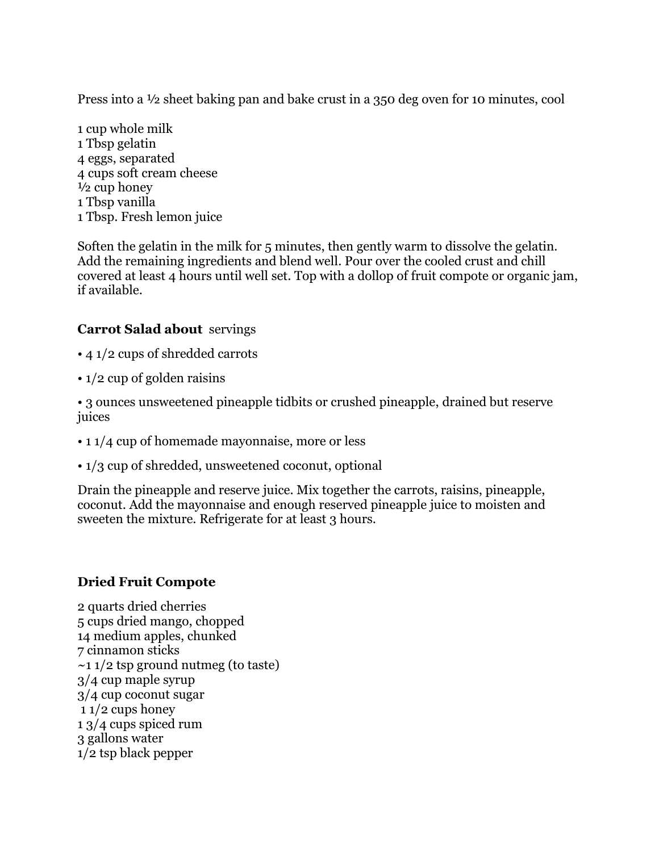Press into a ½ sheet baking pan and bake crust in a 350 deg oven for 10 minutes, cool

1 cup whole milk 1 Tbsp gelatin 4 eggs, separated 4 cups soft cream cheese  $\frac{1}{2}$  cup honey 1 Tbsp vanilla 1 Tbsp. Fresh lemon juice

Soften the gelatin in the milk for 5 minutes, then gently warm to dissolve the gelatin. Add the remaining ingredients and blend well. Pour over the cooled crust and chill covered at least 4 hours until well set. Top with a dollop of fruit compote or organic jam, if available.

# **Carrot Salad about** servings

- 4 1/2 cups of shredded carrots
- 1/2 cup of golden raisins

• 3 ounces unsweetened pineapple tidbits or crushed pineapple, drained but reserve juices

- 1 1/4 cup of homemade mayonnaise, more or less
- 1/3 cup of shredded, unsweetened coconut, optional

Drain the pineapple and reserve juice. Mix together the carrots, raisins, pineapple, coconut. Add the mayonnaise and enough reserved pineapple juice to moisten and sweeten the mixture. Refrigerate for at least 3 hours.

# **Dried Fruit Compote**

2 quarts dried cherries 5 cups dried mango, chopped 14 medium apples, chunked 7 cinnamon sticks  $\sim$ 1 1/2 tsp ground nutmeg (to taste) 3/4 cup maple syrup 3/4 cup coconut sugar 1 1/2 cups honey 1 3/4 cups spiced rum 3 gallons water 1/2 tsp black pepper